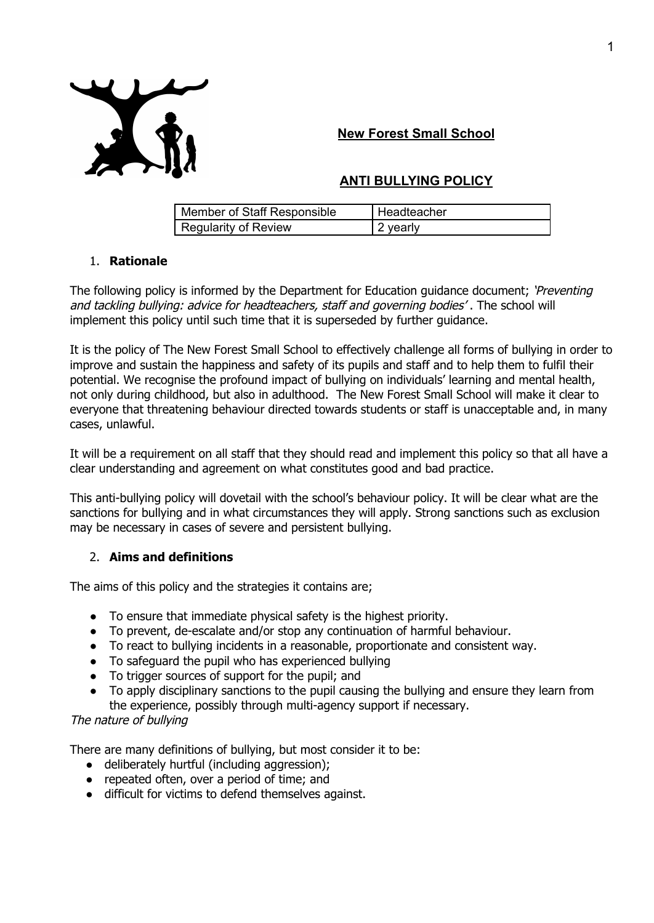

# **New Forest Small School**

# **ANTI BULLYING POLICY**

| Member of Staff Responsible | I Headteacher |
|-----------------------------|---------------|
| Regularity of Review        | 2 yearly      |

## 1. **Rationale**

The following policy is informed by the Department for Education guidance document; 'Preventing and tackling bullying: advice for headteachers, staff and governing bodies'. The school will implement this policy until such time that it is superseded by further guidance.

It is the policy of The New Forest Small School to effectively challenge all forms of bullying in order to improve and sustain the happiness and safety of its pupils and staff and to help them to fulfil their potential. We recognise the profound impact of bullying on individuals' learning and mental health, not only during childhood, but also in adulthood. The New Forest Small School will make it clear to everyone that threatening behaviour directed towards students or staff is unacceptable and, in many cases, unlawful.

It will be a requirement on all staff that they should read and implement this policy so that all have a clear understanding and agreement on what constitutes good and bad practice.

This anti-bullying policy will dovetail with the school's behaviour policy. It will be clear what are the sanctions for bullying and in what circumstances they will apply. Strong sanctions such as exclusion may be necessary in cases of severe and persistent bullying.

## 2. **Aims and definitions**

The aims of this policy and the strategies it contains are;

- To ensure that immediate physical safety is the highest priority.
- To prevent, de-escalate and/or stop any continuation of harmful behaviour.
- To react to bullying incidents in a reasonable, proportionate and consistent way.
- To safeguard the pupil who has experienced bullying
- To trigger sources of support for the pupil; and
- To apply disciplinary sanctions to the pupil causing the bullying and ensure they learn from the experience, possibly through multi-agency support if necessary.

## The nature of bullying

There are many definitions of bullying, but most consider it to be:

- deliberately hurtful (including aggression);
- repeated often, over a period of time; and
- difficult for victims to defend themselves against.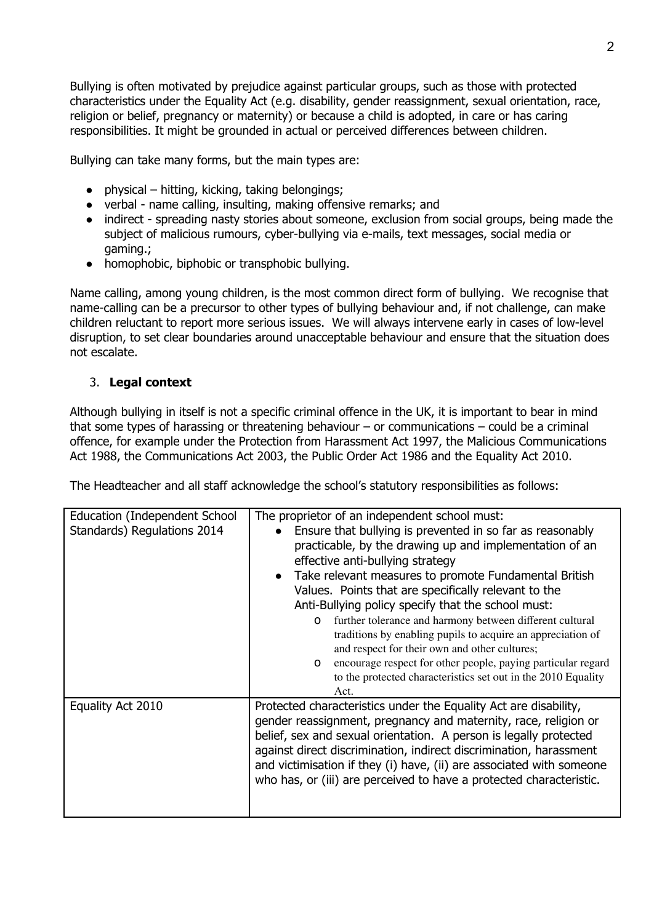Bullying is often motivated by prejudice against particular groups, such as those with protected characteristics under the Equality Act (e.g. disability, gender reassignment, sexual orientation, race, religion or belief, pregnancy or maternity) or because a child is adopted, in care or has caring responsibilities. It might be grounded in actual or perceived differences between children.

Bullying can take many forms, but the main types are:

- $\bullet$  physical hitting, kicking, taking belongings;
- verbal name calling, insulting, making offensive remarks; and
- indirect spreading nasty stories about someone, exclusion from social groups, being made the subject of malicious rumours, cyber-bullying via e-mails, text messages, social media or gaming.;
- homophobic, biphobic or transphobic bullying.

Name calling, among young children, is the most common direct form of bullying. We recognise that name-calling can be a precursor to other types of bullying behaviour and, if not challenge, can make children reluctant to report more serious issues. We will always intervene early in cases of low-level disruption, to set clear boundaries around unacceptable behaviour and ensure that the situation does not escalate.

# 3. **Legal context**

Although bullying in itself is not a specific criminal offence in the UK, it is important to bear in mind that some types of harassing or threatening behaviour – or communications – could be a criminal offence, for example under the Protection from Harassment Act 1997, the Malicious Communications Act 1988, the Communications Act 2003, the Public Order Act 1986 and the Equality Act 2010.

The Headteacher and all staff acknowledge the school's statutory responsibilities as follows:

| Education (Independent School<br>Standards) Regulations 2014 | The proprietor of an independent school must:<br>Ensure that bullying is prevented in so far as reasonably<br>practicable, by the drawing up and implementation of an<br>effective anti-bullying strategy<br>Take relevant measures to promote Fundamental British<br>$\bullet$<br>Values. Points that are specifically relevant to the<br>Anti-Bullying policy specify that the school must:<br>further tolerance and harmony between different cultural<br>$\Omega$<br>traditions by enabling pupils to acquire an appreciation of<br>and respect for their own and other cultures;<br>encourage respect for other people, paying particular regard<br>$\Omega$<br>to the protected characteristics set out in the 2010 Equality<br>Act. |  |
|--------------------------------------------------------------|--------------------------------------------------------------------------------------------------------------------------------------------------------------------------------------------------------------------------------------------------------------------------------------------------------------------------------------------------------------------------------------------------------------------------------------------------------------------------------------------------------------------------------------------------------------------------------------------------------------------------------------------------------------------------------------------------------------------------------------------|--|
| Equality Act 2010                                            | Protected characteristics under the Equality Act are disability,<br>gender reassignment, pregnancy and maternity, race, religion or<br>belief, sex and sexual orientation. A person is legally protected<br>against direct discrimination, indirect discrimination, harassment<br>and victimisation if they (i) have, (ii) are associated with someone<br>who has, or (iii) are perceived to have a protected characteristic.                                                                                                                                                                                                                                                                                                              |  |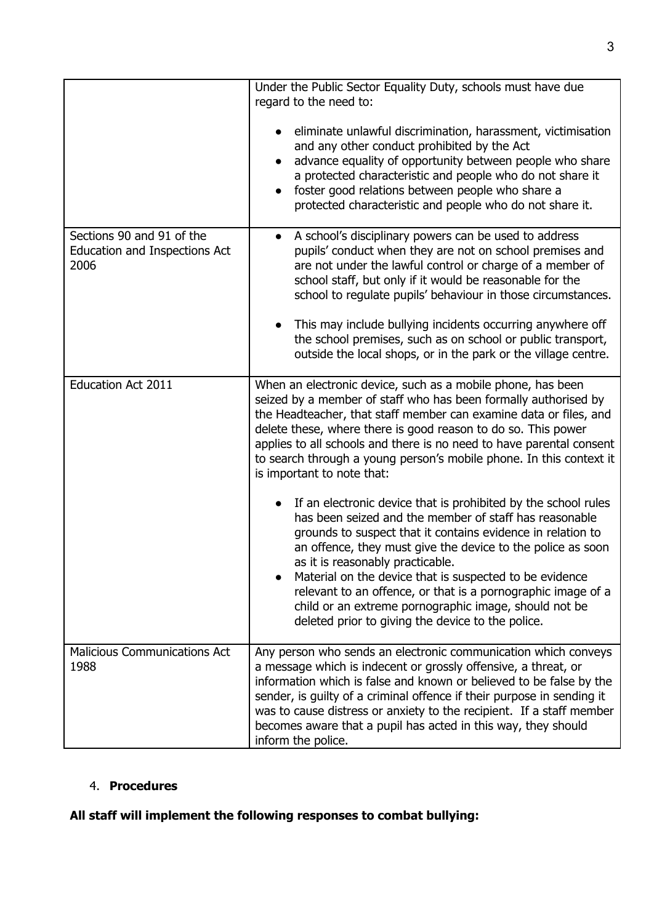|                                                                           | Under the Public Sector Equality Duty, schools must have due<br>regard to the need to:                                                                                                                                                                                                                                                                                                                                                                                                                                              |
|---------------------------------------------------------------------------|-------------------------------------------------------------------------------------------------------------------------------------------------------------------------------------------------------------------------------------------------------------------------------------------------------------------------------------------------------------------------------------------------------------------------------------------------------------------------------------------------------------------------------------|
|                                                                           | eliminate unlawful discrimination, harassment, victimisation<br>and any other conduct prohibited by the Act<br>advance equality of opportunity between people who share<br>a protected characteristic and people who do not share it<br>foster good relations between people who share a<br>protected characteristic and people who do not share it.                                                                                                                                                                                |
| Sections 90 and 91 of the<br><b>Education and Inspections Act</b><br>2006 | A school's disciplinary powers can be used to address<br>pupils' conduct when they are not on school premises and<br>are not under the lawful control or charge of a member of<br>school staff, but only if it would be reasonable for the<br>school to regulate pupils' behaviour in those circumstances.<br>This may include bullying incidents occurring anywhere off<br>the school premises, such as on school or public transport,                                                                                             |
|                                                                           | outside the local shops, or in the park or the village centre.                                                                                                                                                                                                                                                                                                                                                                                                                                                                      |
| <b>Education Act 2011</b>                                                 | When an electronic device, such as a mobile phone, has been<br>seized by a member of staff who has been formally authorised by<br>the Headteacher, that staff member can examine data or files, and<br>delete these, where there is good reason to do so. This power<br>applies to all schools and there is no need to have parental consent<br>to search through a young person's mobile phone. In this context it<br>is important to note that:                                                                                   |
|                                                                           | If an electronic device that is prohibited by the school rules<br>has been seized and the member of staff has reasonable<br>grounds to suspect that it contains evidence in relation to<br>an offence, they must give the device to the police as soon<br>as it is reasonably practicable.<br>Material on the device that is suspected to be evidence<br>relevant to an offence, or that is a pornographic image of a<br>child or an extreme pornographic image, should not be<br>deleted prior to giving the device to the police. |
| <b>Malicious Communications Act</b><br>1988                               | Any person who sends an electronic communication which conveys<br>a message which is indecent or grossly offensive, a threat, or<br>information which is false and known or believed to be false by the<br>sender, is guilty of a criminal offence if their purpose in sending it<br>was to cause distress or anxiety to the recipient. If a staff member<br>becomes aware that a pupil has acted in this way, they should<br>inform the police.                                                                                    |

# 4. **Procedures**

# **All staff will implement the following responses to combat bullying:**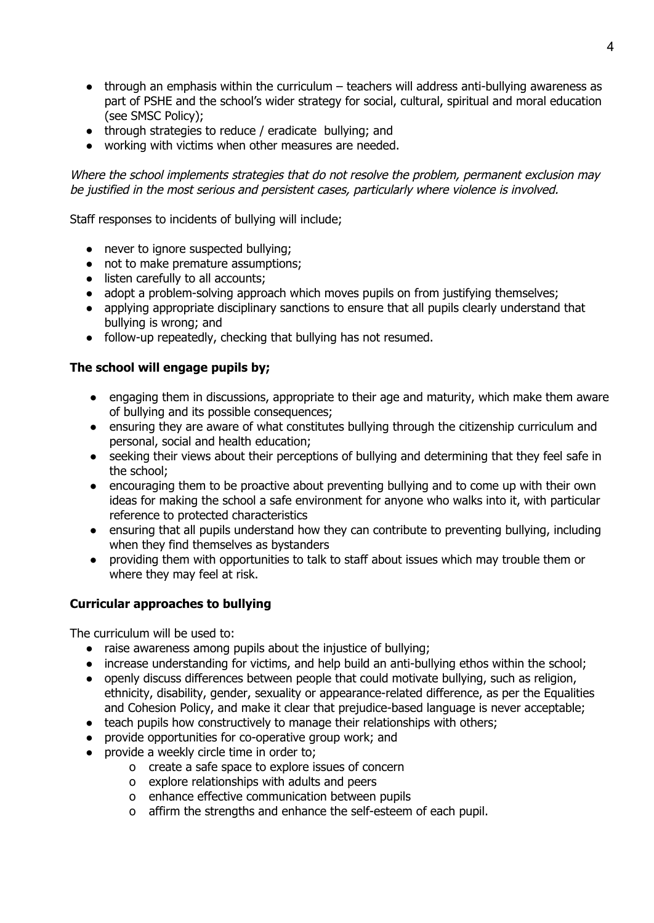- $\bullet$  through an emphasis within the curriculum teachers will address anti-bullying awareness as part of PSHE and the school's wider strategy for social, cultural, spiritual and moral education (see SMSC Policy);
- through strategies to reduce / eradicate bullying; and
- working with victims when other measures are needed.

Where the school implements strategies that do not resolve the problem, permanent exclusion may be justified in the most serious and persistent cases, particularly where violence is involved.

Staff responses to incidents of bullying will include;

- never to ignore suspected bullying:
- not to make premature assumptions;
- listen carefully to all accounts;
- adopt a problem-solving approach which moves pupils on from justifying themselves;
- applying appropriate disciplinary sanctions to ensure that all pupils clearly understand that bullying is wrong; and
- follow-up repeatedly, checking that bullying has not resumed.

## **The school will engage pupils by;**

- engaging them in discussions, appropriate to their age and maturity, which make them aware of bullying and its possible consequences;
- ensuring they are aware of what constitutes bullying through the citizenship curriculum and personal, social and health education;
- seeking their views about their perceptions of bullying and determining that they feel safe in the school;
- encouraging them to be proactive about preventing bullying and to come up with their own ideas for making the school a safe environment for anyone who walks into it, with particular reference to protected characteristics
- ensuring that all pupils understand how they can contribute to preventing bullying, including when they find themselves as bystanders
- providing them with opportunities to talk to staff about issues which may trouble them or where they may feel at risk.

## **Curricular approaches to bullying**

The curriculum will be used to:

- raise awareness among pupils about the injustice of bullying;
- increase understanding for victims, and help build an anti-bullying ethos within the school;
- openly discuss differences between people that could motivate bullying, such as religion, ethnicity, disability, gender, sexuality or appearance-related difference, as per the Equalities and Cohesion Policy, and make it clear that prejudice-based language is never acceptable;
- teach pupils how constructively to manage their relationships with others;
- provide opportunities for co-operative group work; and
- provide a weekly circle time in order to;
	- o create a safe space to explore issues of concern
	- o explore relationships with adults and peers
	- o enhance effective communication between pupils
	- o affirm the strengths and enhance the self-esteem of each pupil.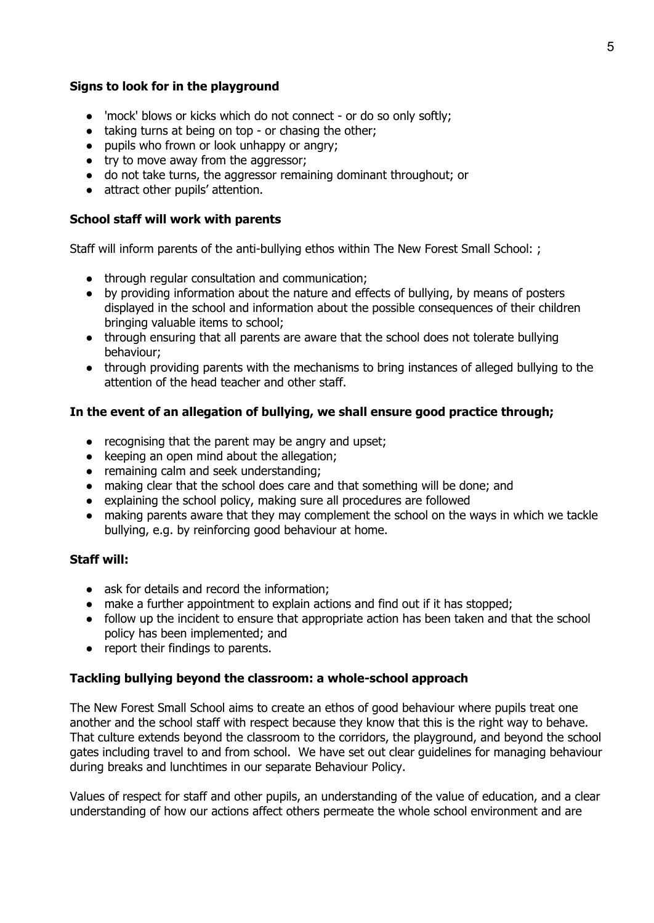#### **Signs to look for in the playground**

- 'mock' blows or kicks which do not connect or do so only softly;
- taking turns at being on top or chasing the other;
- pupils who frown or look unhappy or angry;
- try to move away from the aggressor;
- do not take turns, the aggressor remaining dominant throughout; or
- attract other pupils' attention.

#### **School staff will work with parents**

Staff will inform parents of the anti-bullying ethos within The New Forest Small School: ;

- through regular consultation and communication;
- by providing information about the nature and effects of bullying, by means of posters displayed in the school and information about the possible consequences of their children bringing valuable items to school;
- through ensuring that all parents are aware that the school does not tolerate bullying behaviour;
- through providing parents with the mechanisms to bring instances of alleged bullying to the attention of the head teacher and other staff.

## **In the event of an allegation of bullying, we shall ensure good practice through;**

- recognising that the parent may be angry and upset;
- keeping an open mind about the allegation;
- remaining calm and seek understanding;
- making clear that the school does care and that something will be done; and
- explaining the school policy, making sure all procedures are followed
- making parents aware that they may complement the school on the ways in which we tackle bullying, e.g. by reinforcing good behaviour at home.

#### **Staff will:**

- ask for details and record the information:
- make a further appointment to explain actions and find out if it has stopped;
- follow up the incident to ensure that appropriate action has been taken and that the school policy has been implemented; and
- report their findings to parents.

## **Tackling bullying beyond the classroom: a whole-school approach**

The New Forest Small School aims to create an ethos of good behaviour where pupils treat one another and the school staff with respect because they know that this is the right way to behave. That culture extends beyond the classroom to the corridors, the playground, and beyond the school gates including travel to and from school. We have set out clear guidelines for managing behaviour during breaks and lunchtimes in our separate Behaviour Policy.

Values of respect for staff and other pupils, an understanding of the value of education, and a clear understanding of how our actions affect others permeate the whole school environment and are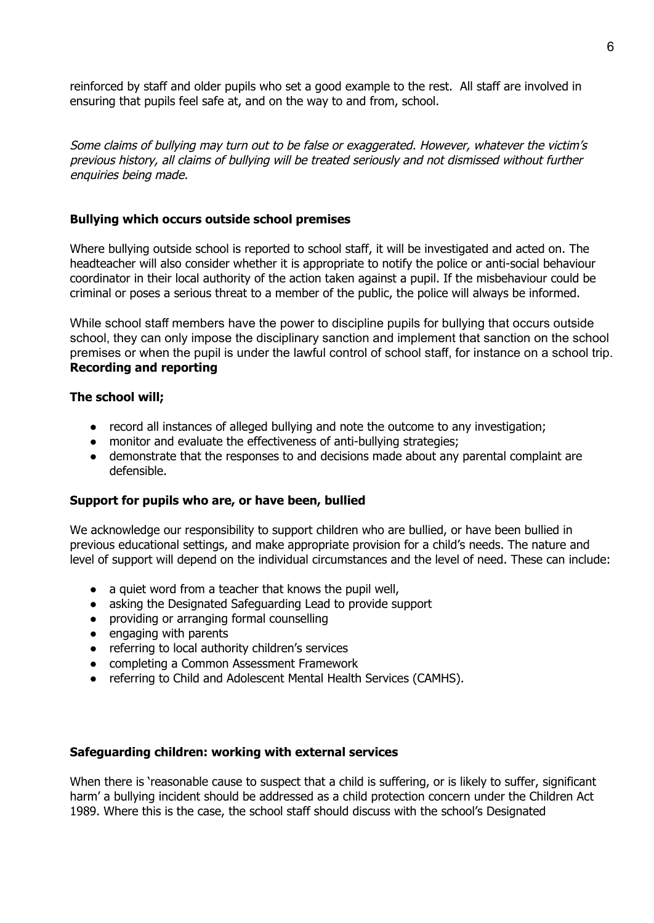reinforced by staff and older pupils who set a good example to the rest. All staff are involved in ensuring that pupils feel safe at, and on the way to and from, school.

Some claims of bullying may turn out to be false or exaggerated. However, whatever the victim's previous history, all claims of bullying will be treated seriously and not dismissed without further enquiries being made.

#### **Bullying which occurs outside school premises**

Where bullying outside school is reported to school staff, it will be investigated and acted on. The headteacher will also consider whether it is appropriate to notify the police or anti-social behaviour coordinator in their local authority of the action taken against a pupil. If the misbehaviour could be criminal or poses a serious threat to a member of the public, the police will always be informed.

While school staff members have the power to discipline pupils for bullying that occurs outside school, they can only impose the disciplinary sanction and implement that sanction on the school premises or when the pupil is under the lawful control of school staff, for instance on a school trip. **Recording and reporting**

#### **The school will;**

- record all instances of alleged bullying and note the outcome to any investigation;
- monitor and evaluate the effectiveness of anti-bullying strategies;
- demonstrate that the responses to and decisions made about any parental complaint are defensible.

## **Support for pupils who are, or have been, bullied**

We acknowledge our responsibility to support children who are bullied, or have been bullied in previous educational settings, and make appropriate provision for a child's needs. The nature and level of support will depend on the individual circumstances and the level of need. These can include:

- a quiet word from a teacher that knows the pupil well,
- asking the Designated Safeguarding Lead to provide support
- providing or arranging formal counselling
- engaging with parents
- referring to local authority children's services
- completing a Common Assessment Framework
- referring to Child and Adolescent Mental Health Services (CAMHS).

#### **Safeguarding children: working with external services**

When there is 'reasonable cause to suspect that a child is suffering, or is likely to suffer, significant harm' a bullying incident should be addressed as a child protection concern under the Children Act 1989. Where this is the case, the school staff should discuss with the school's Designated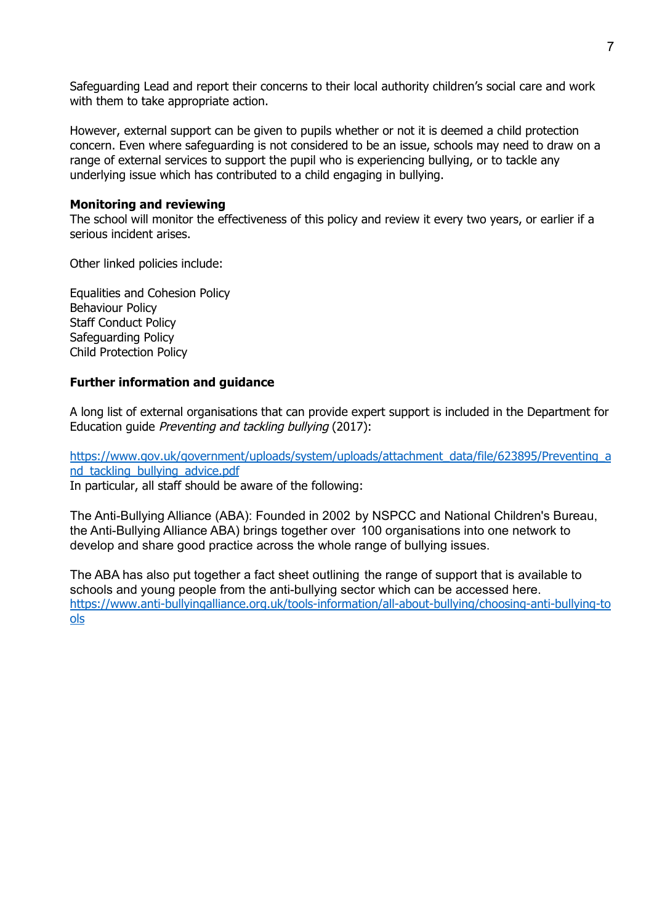Safeguarding Lead and report their concerns to their local authority children's social care and work with them to take appropriate action.

However, external support can be given to pupils whether or not it is deemed a child protection concern. Even where safeguarding is not considered to be an issue, schools may need to draw on a range of external services to support the pupil who is experiencing bullying, or to tackle any underlying issue which has contributed to a child engaging in bullying.

## **Monitoring and reviewing**

The school will monitor the effectiveness of this policy and review it every two years, or earlier if a serious incident arises.

Other linked policies include:

Equalities and Cohesion Policy Behaviour Policy Staff Conduct Policy Safeguarding Policy Child Protection Policy

## **Further information and guidance**

A long list of external organisations that can provide expert support is included in the Department for Education guide Preventing and tackling bullying (2017):

[https://www.gov.uk/government/uploads/system/uploads/attachment\\_data/file/623895/Preventing\\_a](https://www.gov.uk/government/uploads/system/uploads/attachment_data/file/623895/Preventing_and_tackling_bullying_advice.pdf) [nd\\_tackling\\_bullying\\_advice.pdf](https://www.gov.uk/government/uploads/system/uploads/attachment_data/file/623895/Preventing_and_tackling_bullying_advice.pdf)

In particular, all staff should be aware of the following:

The Anti-Bullying Alliance (ABA): Founded in 2002 by NSPCC and National Children's Bureau, the Anti-Bullying Alliance ABA) brings together over 100 organisations into one network to develop and share good practice across the whole range of bullying issues.

The ABA has also put together a fact sheet outlining the range of support that is available to schools and young people from the anti-bullying sector which can be accessed here. [https://www.anti-bullyingalliance.org.uk/tools-information/all-about-bullying/choosing-anti-bullying-to](https://www.anti-bullyingalliance.org.uk/tools-information/all-about-bullying/choosing-anti-bullying-tools) [ols](https://www.anti-bullyingalliance.org.uk/tools-information/all-about-bullying/choosing-anti-bullying-tools)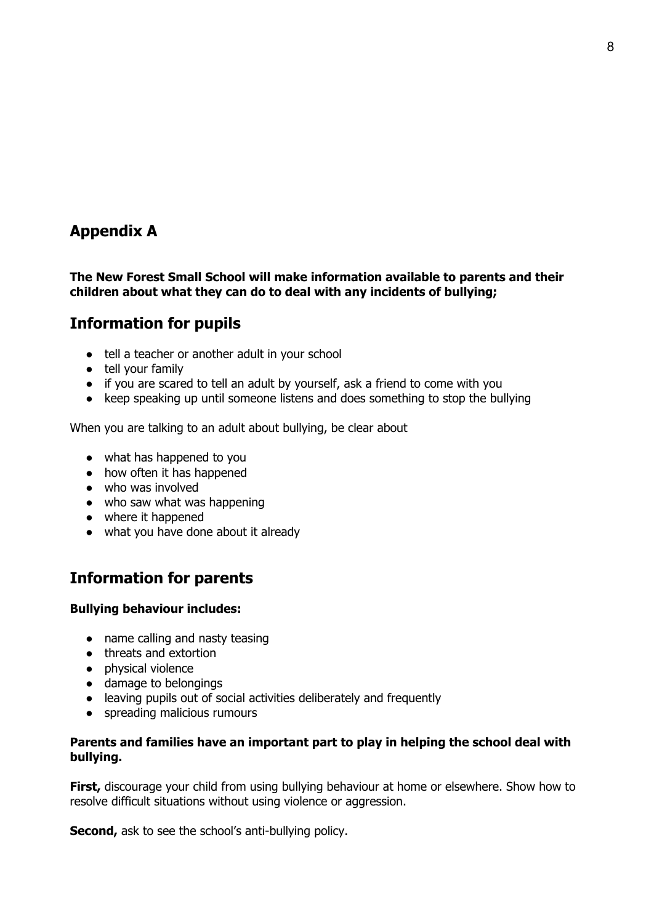# **Appendix A**

## **The New Forest Small School will make information available to parents and their children about what they can do to deal with any incidents of bullying;**

# **Information for pupils**

- tell a teacher or another adult in your school
- tell your family
- if you are scared to tell an adult by yourself, ask a friend to come with you
- keep speaking up until someone listens and does something to stop the bullying

When you are talking to an adult about bullying, be clear about

- what has happened to you
- how often it has happened
- who was involved
- who saw what was happening
- where it happened
- what you have done about it already

# **Information for parents**

## **Bullying behaviour includes:**

- name calling and nasty teasing
- threats and extortion
- physical violence
- damage to belongings
- leaving pupils out of social activities deliberately and frequently
- spreading malicious rumours

## **Parents and families have an important part to play in helping the school deal with bullying.**

**First,** discourage your child from using bullying behaviour at home or elsewhere. Show how to resolve difficult situations without using violence or aggression.

**Second,** ask to see the school's anti-bullying policy.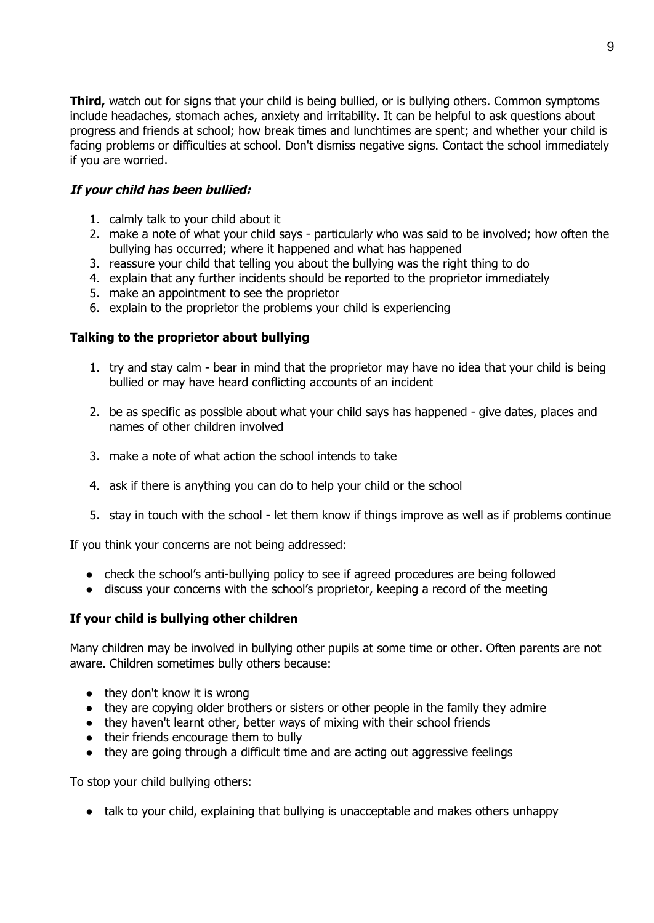**Third,** watch out for signs that your child is being bullied, or is bullying others. Common symptoms include headaches, stomach aches, anxiety and irritability. It can be helpful to ask questions about progress and friends at school; how break times and lunchtimes are spent; and whether your child is facing problems or difficulties at school. Don't dismiss negative signs. Contact the school immediately if you are worried.

## **If your child has been bullied:**

- 1. calmly talk to your child about it
- 2. make a note of what your child says particularly who was said to be involved; how often the bullying has occurred; where it happened and what has happened
- 3. reassure your child that telling you about the bullying was the right thing to do
- 4. explain that any further incidents should be reported to the proprietor immediately
- 5. make an appointment to see the proprietor
- 6. explain to the proprietor the problems your child is experiencing

## **Talking to the proprietor about bullying**

- 1. try and stay calm bear in mind that the proprietor may have no idea that your child is being bullied or may have heard conflicting accounts of an incident
- 2. be as specific as possible about what your child says has happened give dates, places and names of other children involved
- 3. make a note of what action the school intends to take
- 4. ask if there is anything you can do to help your child or the school
- 5. stay in touch with the school let them know if things improve as well as if problems continue

If you think your concerns are not being addressed:

- check the school's anti-bullying policy to see if agreed procedures are being followed
- discuss your concerns with the school's proprietor, keeping a record of the meeting

## **If your child is bullying other children**

Many children may be involved in bullying other pupils at some time or other. Often parents are not aware. Children sometimes bully others because:

- $\bullet$  they don't know it is wrong
- they are copying older brothers or sisters or other people in the family they admire
- they haven't learnt other, better ways of mixing with their school friends
- their friends encourage them to bully
- they are going through a difficult time and are acting out aggressive feelings

To stop your child bullying others:

● talk to your child, explaining that bullying is unacceptable and makes others unhappy